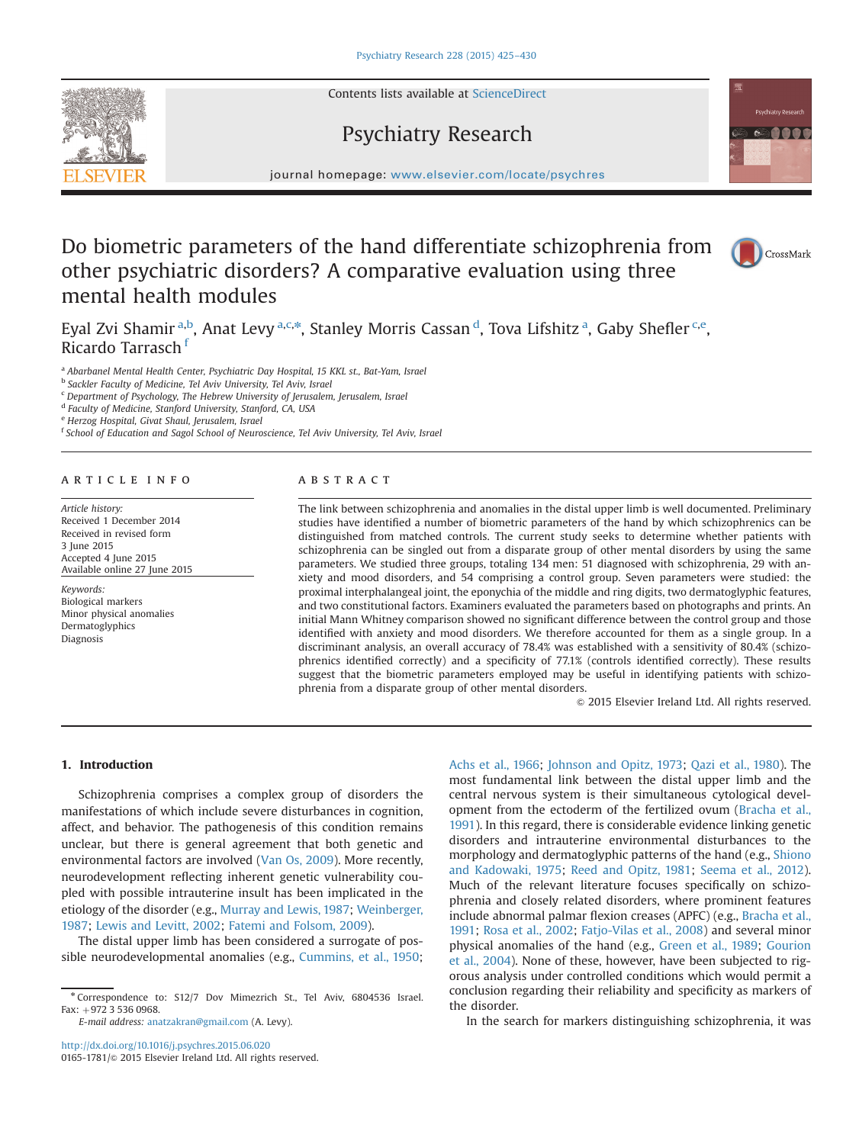Contents lists available at ScienceDirect



journal homepage: <www.elsevier.com/locate/psychres>

Psychiatry Research

## Do biometric parameters of the hand differentiate schizophrenia from other psychiatric disorders? A comparative evaluation using three mental health modules



Eyal Zvi Shamir <sup>a,b</sup>, Anat Levy <sup>a,c,\*</sup>, Stanley Morris Cassan <sup>d</sup>, Tova Lifshitz <sup>a</sup>, Gaby Shefler <sup>c,e</sup>, Ricardo Tarrasch<sup>f</sup>

<sup>a</sup> Abarbanel Mental Health Center, Psychiatric Day Hospital, 15 KKL st., Bat-Yam, Israel

<sup>b</sup> Sackler Faculty of Medicine, Tel Aviv University, Tel Aviv, Israel

<sup>c</sup> Department of Psychology, The Hebrew University of Jerusalem, Jerusalem, Israel

<sup>d</sup> Faculty of Medicine, Stanford University, Stanford, CA, USA

<sup>e</sup> Herzog Hospital, Givat Shaul, Jerusalem, Israel

<sup>f</sup> School of Education and Sagol School of Neuroscience, Tel Aviv University, Tel Aviv, Israel

#### article info

Article history: Received 1 December 2014 Received in revised form 3 June 2015 Accepted 4 June 2015 Available online 27 June 2015

Keywords: Biological markers Minor physical anomalies Dermatoglyphics Diagnosis

### ABSTRACT

The link between schizophrenia and anomalies in the distal upper limb is well documented. Preliminary studies have identified a number of biometric parameters of the hand by which schizophrenics can be distinguished from matched controls. The current study seeks to determine whether patients with schizophrenia can be singled out from a disparate group of other mental disorders by using the same parameters. We studied three groups, totaling 134 men: 51 diagnosed with schizophrenia, 29 with anxiety and mood disorders, and 54 comprising a control group. Seven parameters were studied: the proximal interphalangeal joint, the eponychia of the middle and ring digits, two dermatoglyphic features, and two constitutional factors. Examiners evaluated the parameters based on photographs and prints. An initial Mann Whitney comparison showed no significant difference between the control group and those identified with anxiety and mood disorders. We therefore accounted for them as a single group. In a discriminant analysis, an overall accuracy of 78.4% was established with a sensitivity of 80.4% (schizophrenics identified correctly) and a specificity of 77.1% (controls identified correctly). These results suggest that the biometric parameters employed may be useful in identifying patients with schizophrenia from a disparate group of other mental disorders.

 $\odot$  2015 Elsevier Ireland Ltd. All rights reserved.

#### 1. Introduction

Schizophrenia comprises a complex group of disorders the manifestations of which include severe disturbances in cognition, affect, and behavior. The pathogenesis of this condition remains unclear, but there is general agreement that both genetic and environmental factors are involved (Van Os, 2009). More recently, neurodevelopment reflecting inherent genetic vulnerability coupled with possible intrauterine insult has been implicated in the etiology of the disorder (e.g., Murray and Lewis, 1987; Weinberger, 1987; Lewis and Levitt, 2002; Fatemi and Folsom, 2009).

The distal upper limb has been considered a surrogate of possible neurodevelopmental anomalies (e.g., Cummins, et al., 1950;

E-mail address: [anatzakran@gmail.com](mailto:anatzakran@gmail.com) (A. Levy).

<http://dx.doi.org/10.1016/j.psychres.2015.06.020> 0165-1781/© 2015 Elsevier Ireland Ltd. All rights reserved. Achs et al., 1966; Johnson and Opitz, 1973; Qazi et al., 1980). The most fundamental link between the distal upper limb and the central nervous system is their simultaneous cytological development from the ectoderm of the fertilized ovum (Bracha et al., 1991). In this regard, there is considerable evidence linking genetic disorders and intrauterine environmental disturbances to the morphology and dermatoglyphic patterns of the hand (e.g., Shiono and Kadowaki, 1975; Reed and Opitz, 1981; Seema et al., 2012). Much of the relevant literature focuses specifically on schizophrenia and closely related disorders, where prominent features include abnormal palmar flexion creases (APFC) (e.g., Bracha et al., 1991; Rosa et al., 2002; Fatjo-Vilas et al., 2008) and several minor physical anomalies of the hand (e.g., Green et al., 1989; Gourion et al., 2004). None of these, however, have been subjected to rigorous analysis under controlled conditions which would permit a conclusion regarding their reliability and specificity as markers of the disorder.

In the search for markers distinguishing schizophrenia, it was

<sup>n</sup> Correspondence to: S12/7 Dov Mimezrich St., Tel Aviv, 6804536 Israel. Fax:  $+972$  3 536 0968.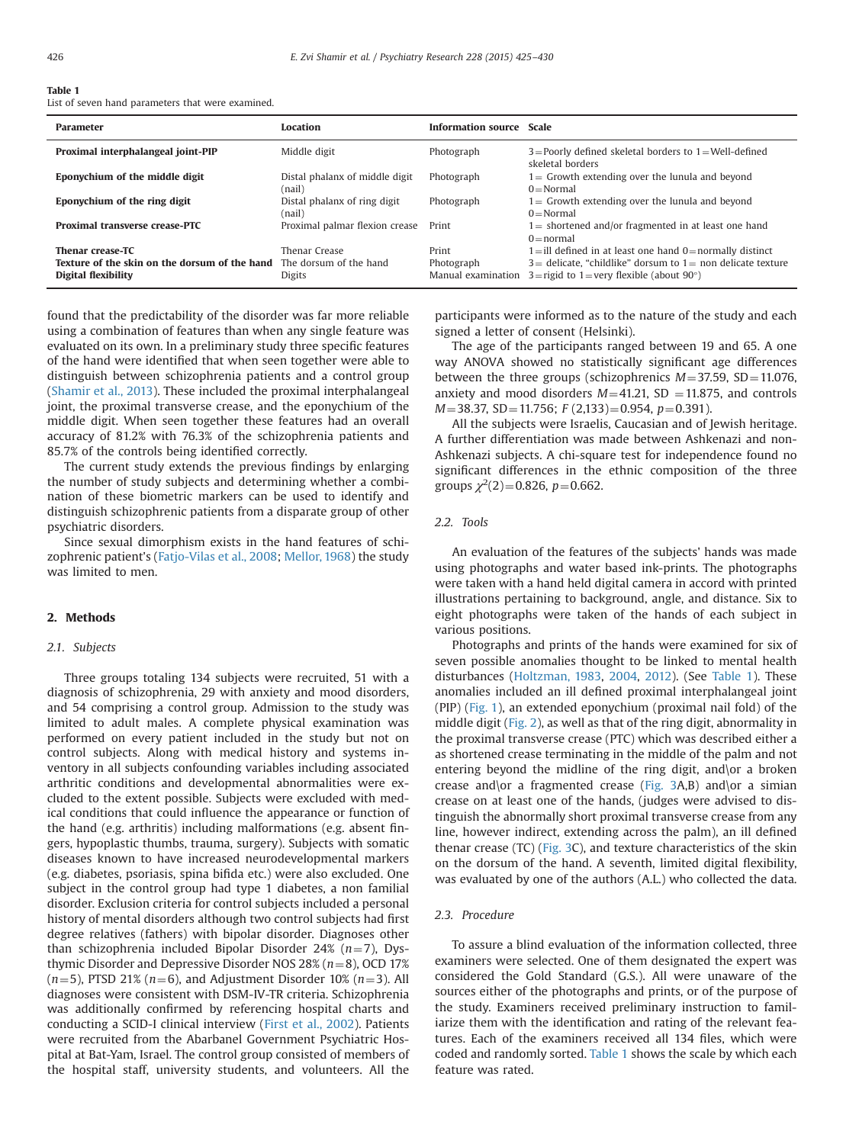#### Table 1

List of seven hand parameters that were examined.

| <b>Parameter</b>                                                                                   | <b>Location</b>                          | Information source Scale |                                                                                                                                                  |
|----------------------------------------------------------------------------------------------------|------------------------------------------|--------------------------|--------------------------------------------------------------------------------------------------------------------------------------------------|
| Proximal interphalangeal joint-PIP                                                                 | Middle digit                             | Photograph               | $3 =$ Poorly defined skeletal borders to $1 =$ Well-defined<br>skeletal borders                                                                  |
| Eponychium of the middle digit                                                                     | Distal phalanx of middle digit<br>(nail) | Photograph               | $1 =$ Growth extending over the lunula and beyond<br>$0 = Normal$                                                                                |
| Eponychium of the ring digit                                                                       | Distal phalanx of ring digit<br>(nail)   | Photograph               | $1 =$ Growth extending over the lunula and beyond<br>$0 = Normal$                                                                                |
| <b>Proximal transverse crease-PTC</b>                                                              | Proximal palmar flexion crease           | Print                    | $1 =$ shortened and/or fragmented in at least one hand<br>$0 = normal$                                                                           |
| <b>Thenar crease-TC</b>                                                                            | Thenar Crease                            | Print                    | $1 =$ ill defined in at least one hand $0 =$ normally distinct                                                                                   |
| <b>Texture of the skin on the dorsum of the hand</b> The dorsum of the hand<br>Digital flexibility | Digits                                   | Photograph               | $3$ = delicate, "childlike" dorsum to $1$ = non delicate texture<br>Manual examination $3 =$ rigid to $1 =$ very flexible (about 90 $^{\circ}$ ) |

found that the predictability of the disorder was far more reliable using a combination of features than when any single feature was evaluated on its own. In a preliminary study three specific features of the hand were identified that when seen together were able to distinguish between schizophrenia patients and a control group (Shamir et al., 2013). These included the proximal interphalangeal joint, the proximal transverse crease, and the eponychium of the middle digit. When seen together these features had an overall accuracy of 81.2% with 76.3% of the schizophrenia patients and 85.7% of the controls being identified correctly.

The current study extends the previous findings by enlarging the number of study subjects and determining whether a combination of these biometric markers can be used to identify and distinguish schizophrenic patients from a disparate group of other psychiatric disorders.

Since sexual dimorphism exists in the hand features of schizophrenic patient's (Fatjo-Vilas et al., 2008; Mellor, 1968) the study was limited to men.

#### 2. Methods

#### 2.1. Subjects

Three groups totaling 134 subjects were recruited, 51 with a diagnosis of schizophrenia, 29 with anxiety and mood disorders, and 54 comprising a control group. Admission to the study was limited to adult males. A complete physical examination was performed on every patient included in the study but not on control subjects. Along with medical history and systems inventory in all subjects confounding variables including associated arthritic conditions and developmental abnormalities were excluded to the extent possible. Subjects were excluded with medical conditions that could influence the appearance or function of the hand (e.g. arthritis) including malformations (e.g. absent fingers, hypoplastic thumbs, trauma, surgery). Subjects with somatic diseases known to have increased neurodevelopmental markers (e.g. diabetes, psoriasis, spina bifida etc.) were also excluded. One subject in the control group had type 1 diabetes, a non familial disorder. Exclusion criteria for control subjects included a personal history of mental disorders although two control subjects had first degree relatives (fathers) with bipolar disorder. Diagnoses other than schizophrenia included Bipolar Disorder 24% ( $n=7$ ), Dysthymic Disorder and Depressive Disorder NOS 28% ( $n=8$ ), OCD 17%  $(n=5)$ , PTSD 21% ( $n=6$ ), and Adjustment Disorder 10% ( $n=3$ ). All diagnoses were consistent with DSM-IV-TR criteria. Schizophrenia was additionally confirmed by referencing hospital charts and conducting a SCID-I clinical interview (First et al., 2002). Patients were recruited from the Abarbanel Government Psychiatric Hospital at Bat-Yam, Israel. The control group consisted of members of the hospital staff, university students, and volunteers. All the participants were informed as to the nature of the study and each signed a letter of consent (Helsinki).

The age of the participants ranged between 19 and 65. A one way ANOVA showed no statistically significant age differences between the three groups (schizophrenics  $M=37.59$ , SD = 11.076, anxiety and mood disorders  $M=41.21$ , SD = 11.875, and controls  $M=38.37$ , SD = 11.756; F (2,133) = 0.954, p = 0.391).

All the subjects were Israelis, Caucasian and of Jewish heritage. A further differentiation was made between Ashkenazi and non-Ashkenazi subjects. A chi-square test for independence found no significant differences in the ethnic composition of the three groups  $\chi^2(2)=0.826$ ,  $p=0.662$ .

#### 2.2. Tools

An evaluation of the features of the subjects' hands was made using photographs and water based ink-prints. The photographs were taken with a hand held digital camera in accord with printed illustrations pertaining to background, angle, and distance. Six to eight photographs were taken of the hands of each subject in various positions.

Photographs and prints of the hands were examined for six of seven possible anomalies thought to be linked to mental health disturbances (Holtzman, 1983, 2004, 2012). (See Table 1). These anomalies included an ill defined proximal interphalangeal joint (PIP) (Fig. 1), an extended eponychium (proximal nail fold) of the middle digit (Fig. 2), as well as that of the ring digit, abnormality in the proximal transverse crease (PTC) which was described either a as shortened crease terminating in the middle of the palm and not entering beyond the midline of the ring digit, and\or a broken crease and\or a fragmented crease (Fig. 3A,B) and\or a simian crease on at least one of the hands, (judges were advised to distinguish the abnormally short proximal transverse crease from any line, however indirect, extending across the palm), an ill defined thenar crease (TC) (Fig. 3C), and texture characteristics of the skin on the dorsum of the hand. A seventh, limited digital flexibility, was evaluated by one of the authors (A.L.) who collected the data.

#### 2.3. Procedure

To assure a blind evaluation of the information collected, three examiners were selected. One of them designated the expert was considered the Gold Standard (G.S.). All were unaware of the sources either of the photographs and prints, or of the purpose of the study. Examiners received preliminary instruction to familiarize them with the identification and rating of the relevant features. Each of the examiners received all 134 files, which were coded and randomly sorted. Table 1 shows the scale by which each feature was rated.